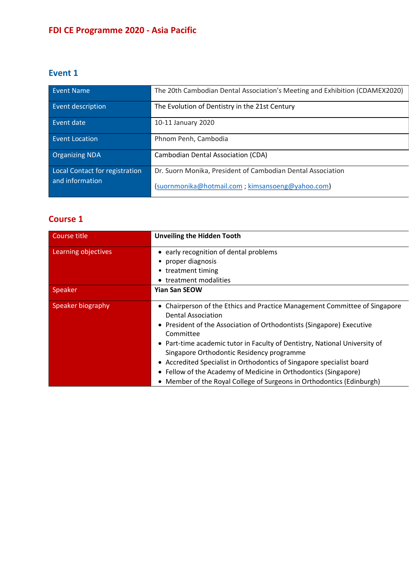# **FDI CE Programme 2020 - Asia Pacific**

### **Event 1**

| Event Name                     | The 20th Cambodian Dental Association's Meeting and Exhibition (CDAMEX2020) |
|--------------------------------|-----------------------------------------------------------------------------|
| Event description              | The Evolution of Dentistry in the 21st Century                              |
| Event date                     | 10-11 January 2020                                                          |
| Event Location                 | Phnom Penh, Cambodia                                                        |
| <b>Organizing NDA</b>          | Cambodian Dental Association (CDA)                                          |
| Local Contact for registration | Dr. Suorn Monika, President of Cambodian Dental Association                 |
| and information                | (suornmonika@hotmail.com; kimsansoeng@yahoo.com)                            |

# **Course 1**

| Course title        | <b>Unveiling the Hidden Tooth</b>                                                                                                                                                                                                                                                                                                                                                                                                                                                                                                         |
|---------------------|-------------------------------------------------------------------------------------------------------------------------------------------------------------------------------------------------------------------------------------------------------------------------------------------------------------------------------------------------------------------------------------------------------------------------------------------------------------------------------------------------------------------------------------------|
| Learning objectives | • early recognition of dental problems                                                                                                                                                                                                                                                                                                                                                                                                                                                                                                    |
|                     | • proper diagnosis                                                                                                                                                                                                                                                                                                                                                                                                                                                                                                                        |
|                     | • treatment timing                                                                                                                                                                                                                                                                                                                                                                                                                                                                                                                        |
|                     | • treatment modalities                                                                                                                                                                                                                                                                                                                                                                                                                                                                                                                    |
| Speaker             | <b>Yian San SEOW</b>                                                                                                                                                                                                                                                                                                                                                                                                                                                                                                                      |
| Speaker biography   | Chairperson of the Ethics and Practice Management Committee of Singapore<br><b>Dental Association</b><br>• President of the Association of Orthodontists (Singapore) Executive<br>Committee<br>• Part-time academic tutor in Faculty of Dentistry, National University of<br>Singapore Orthodontic Residency programme<br>• Accredited Specialist in Orthodontics of Singapore specialist board<br>• Fellow of the Academy of Medicine in Orthodontics (Singapore)<br>Member of the Royal College of Surgeons in Orthodontics (Edinburgh) |